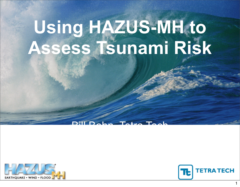

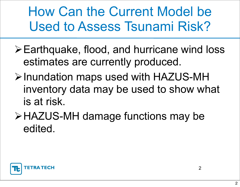How Can the Current Model be Used to Assess Tsunami Risk?

- Earthquake, flood, and hurricane wind loss estimates are currently produced.
- **≻Inundation maps used with HAZUS-MH** inventory data may be used to show what is at risk.
- HAZUS-MH damage functions may be edited.

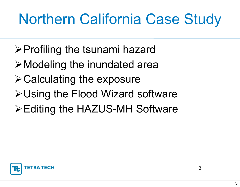# Northern California Case Study

- $\triangleright$  Profiling the tsunami hazard
- Modeling the inundated area
- $\triangleright$  Calculating the exposure
- Using the Flood Wizard software
- Editing the HAZUS-MH Software

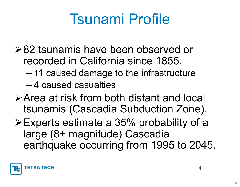### Tsunami Profile

- **≻82 tsunamis have been observed or** recorded in California since 1855.
	- 11 caused damage to the infrastructure
	- 4 caused casualties
- Area at risk from both distant and local tsunamis (Cascadia Subduction Zone).
- Experts estimate a 35% probability of a large (8+ magnitude) Cascadia earthquake occurring from 1995 to 2045.

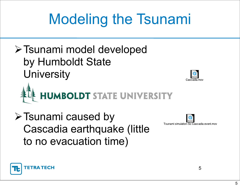# Modeling the Tsunami

Tsunami model developed by Humboldt State **University** 



 $\triangleright$  Tsunami caused by Cascadia earthquake (little to no evacuation time)



Tsunami simulation-So Cascadia event.mov

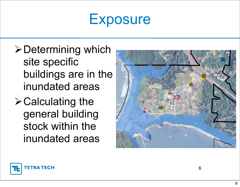#### **Exposure**

- $\triangleright$  Determining which site specific buildings are in the inundated areas
- $\triangleright$  Calculating the general building stock within the inundated areas



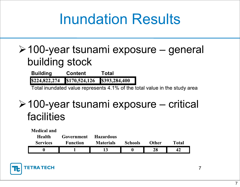#### Inundation Results

#### 100-year tsunami exposure – general building stock

**Building Content Total** \$224,822,274 \$170,524,126 \$393,284,400

Total inundated value represents 4.1% of the total value in the study area

#### 100-year tsunami exposure – critical facilities

| <b>Medical and</b> |                 |                  |                |              |              |
|--------------------|-----------------|------------------|----------------|--------------|--------------|
| <b>Health</b>      | Government      | <b>Hazardous</b> |                |              |              |
| <b>Services</b>    | <b>Function</b> | <b>Materials</b> | <b>Schools</b> | <b>Other</b> | <b>Total</b> |
|                    |                 |                  |                | 28           |              |



7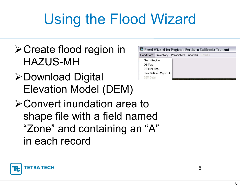# Using the Flood Wizard

- **≻Create flood region in** HAZUS-MH
- **≻Download Digital** Elevation Model (DEM)



**≻Convert inundation area to** shape file with a field named "Zone" and containing an "A" in each record

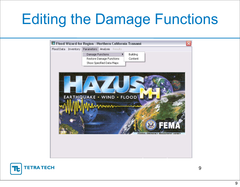### Editing the Damage Functions



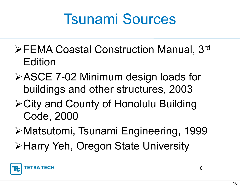### Tsunami Sources

- **EEMA Coastal Construction Manual, 3rd** Edition
- **≻ASCE 7-02 Minimum design loads for** buildings and other structures, 2003
- City and County of Honolulu Building Code, 2000
- Matsutomi, Tsunami Engineering, 1999
- **≻Harry Yeh, Oregon State University**

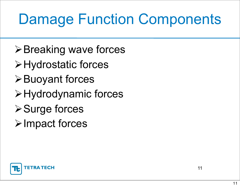### Damage Function Components

- $\triangleright$  Breaking wave forces
- Hydrostatic forces
- $\triangleright$  Buoyant forces
- Hydrodynamic forces
- **≻Surge forces**
- $\triangleright$  Impact forces

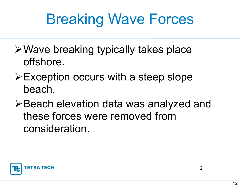## Breaking Wave Forces

- Wave breaking typically takes place offshore.
- $\triangleright$  Exception occurs with a steep slope beach.
- **≻Beach elevation data was analyzed and** these forces were removed from consideration.

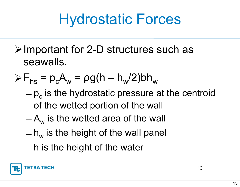### Hydrostatic Forces

 $\triangleright$  Important for 2-D structures such as seawalls.

$$
\triangleright F_{hs} = p_c A_w = \rho g (h - h_w/2) bh_w
$$

- $-p<sub>c</sub>$  is the hydrostatic pressure at the centroid of the wetted portion of the wall
- $-A_{w}$  is the wetted area of the wall
- $h_w$  is the height of the wall panel
- h is the height of the water

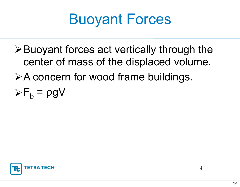

 $\triangleright$  Buoyant forces act vertically through the center of mass of the displaced volume.  $\triangleright$  A concern for wood frame buildings.  $\triangleright F_{b} = \rho g V$ 

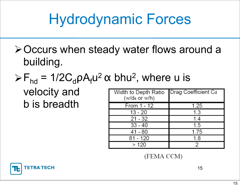# Hydrodynamic Forces

- **≻Occurs when steady water flows around a** building.
- $\triangleright F_{\text{hd}} = 1/2 C_d \rho A_f u^2 \alpha$  bhu<sup>2</sup>, where u is

#### velocity and b is breadth

| Width to Depth Ratio<br>(w/ds or w/h) | Drag Coefficient Cd |
|---------------------------------------|---------------------|
| From 1 - 12                           | 1.25                |
| $13 - 20$                             | 1.3                 |
| $21 - 32$                             | 1.4                 |
| $33 - 40$                             | 1.5                 |
| 41 - 80                               | 1.75                |
| 81 - 120                              | 1.8                 |
| >120                                  | $\mathcal{P}$       |

(FEMA CCM)



15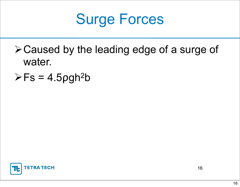

- Caused by the leading edge of a surge of water.
- $\triangleright$  Fs = 4.5 pgh<sup>2</sup>b

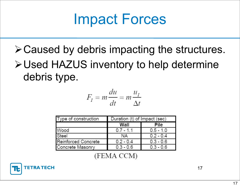#### Impact Forces

#### $\triangleright$  Caused by debris impacting the structures. Used HAZUS inventory to help determine debris type.

$$
F_I = m\frac{du}{dt} = m\frac{u_I}{\Delta t}
$$

| Type of construction | Duration (t) of Impact (sec) |             |  |  |
|----------------------|------------------------------|-------------|--|--|
|                      | Wall                         | Pile        |  |  |
| Wood                 | $0.7 - 1.1$                  | $0.5 - 1.0$ |  |  |
| Steel                | ΝA                           | $0.2 - 0.4$ |  |  |
| Reinforced Concrete  | $0.2 - 0.4$                  | $0.3 - 0.6$ |  |  |
| Concrete Masonry     | $0.3 - 0.6$                  | $0.3 - 0.6$ |  |  |

(FEMA CCM)

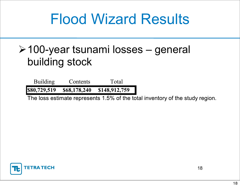#### Flood Wizard Results

#### 100-year tsunami losses – general building stock

**Building** Total **Contents** \$80,729,519 \$68,178,240 \$148,912,759

The loss estimate represents 1.5% of the total inventory of the study region.

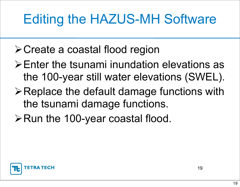#### Editing the HAZUS-MH Software

- Create a coastal flood region
- Enter the tsunami inundation elevations as the 100-year still water elevations (SWEL).
- $\triangleright$  Replace the default damage functions with the tsunami damage functions.
- ≻Run the 100-year coastal flood.

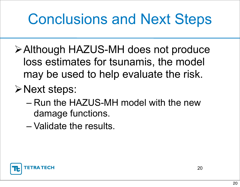## Conclusions and Next Steps

- Although HAZUS-MH does not produce loss estimates for tsunamis, the model may be used to help evaluate the risk.
- **≻Next steps:** 
	- Run the HAZUS-MH model with the new damage functions.
	- Validate the results.